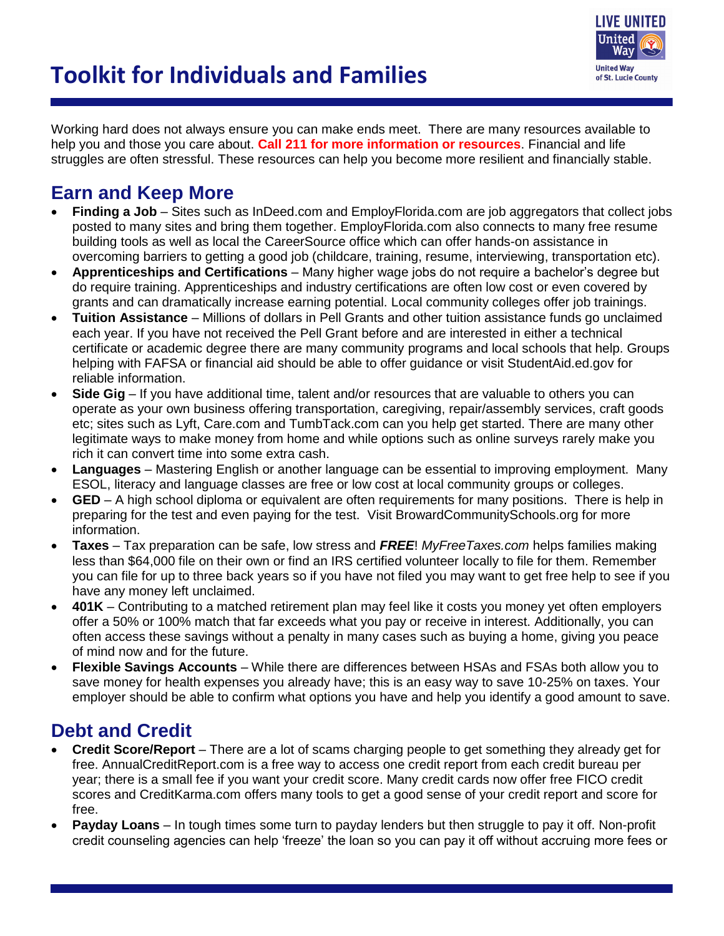



Working hard does not always ensure you can make ends meet. There are many resources available to help you and those you care about. **Call 211 for more information or resources**. Financial and life struggles are often stressful. These resources can help you become more resilient and financially stable.

## **Earn and Keep More**

- **Finding a Job** Sites such as InDeed.com and EmployFlorida.com are job aggregators that collect jobs posted to many sites and bring them together. EmployFlorida.com also connects to many free resume building tools as well as local the CareerSource office which can offer hands-on assistance in overcoming barriers to getting a good job (childcare, training, resume, interviewing, transportation etc).
- **Apprenticeships and Certifications** Many higher wage jobs do not require a bachelor's degree but do require training. Apprenticeships and industry certifications are often low cost or even covered by grants and can dramatically increase earning potential. Local community colleges offer job trainings.
- **Tuition Assistance** Millions of dollars in Pell Grants and other tuition assistance funds go unclaimed each year. If you have not received the Pell Grant before and are interested in either a technical certificate or academic degree there are many community programs and local schools that help. Groups helping with FAFSA or financial aid should be able to offer guidance or visit StudentAid.ed.gov for reliable information.
- **Side Gig** If you have additional time, talent and/or resources that are valuable to others you can operate as your own business offering transportation, caregiving, repair/assembly services, craft goods etc; sites such as Lyft, Care.com and TumbTack.com can you help get started. There are many other legitimate ways to make money from home and while options such as online surveys rarely make you rich it can convert time into some extra cash.
- **Languages** Mastering English or another language can be essential to improving employment. Many ESOL, literacy and language classes are free or low cost at local community groups or colleges.
- **GED** A high school diploma or equivalent are often requirements for many positions. There is help in preparing for the test and even paying for the test. Visit BrowardCommunitySchools.org for more information.
- **Taxes** Tax preparation can be safe, low stress and *FREE*! *MyFreeTaxes.com* helps families making less than \$64,000 file on their own or find an IRS certified volunteer locally to file for them. Remember you can file for up to three back years so if you have not filed you may want to get free help to see if you have any money left unclaimed.
- **401K** Contributing to a matched retirement plan may feel like it costs you money yet often employers offer a 50% or 100% match that far exceeds what you pay or receive in interest. Additionally, you can often access these savings without a penalty in many cases such as buying a home, giving you peace of mind now and for the future.
- **Flexible Savings Accounts** While there are differences between HSAs and FSAs both allow you to save money for health expenses you already have; this is an easy way to save 10-25% on taxes. Your employer should be able to confirm what options you have and help you identify a good amount to save.

# **Debt and Credit**

- **Credit Score/Report**  There are a lot of scams charging people to get something they already get for free. AnnualCreditReport.com is a free way to access one credit report from each credit bureau per year; there is a small fee if you want your credit score. Many credit cards now offer free FICO credit scores and CreditKarma.com offers many tools to get a good sense of your credit report and score for free.
- **Payday Loans** In tough times some turn to payday lenders but then struggle to pay it off. Non-profit credit counseling agencies can help 'freeze' the loan so you can pay it off without accruing more fees or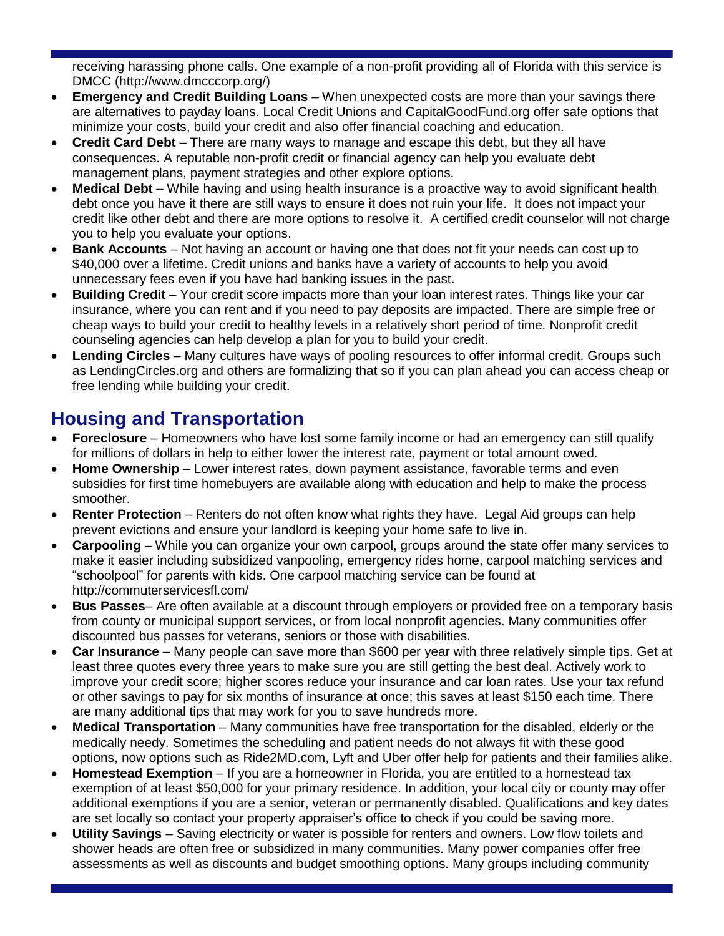receiving harassing phone calls. One example of a non-profit providing all of Florida with this service is DMCC (http://www.dmcccorp.org/)

- **Emergency and Credit Building Loans** When unexpected costs are more than your savings there are alternatives to payday loans. Local Credit Unions and CapitalGoodFund.org offer safe options that minimize your costs, build your credit and also offer financial coaching and education.
- **Credit Card Debt** There are many ways to manage and escape this debt, but they all have consequences. A reputable non-profit credit or financial agency can help you evaluate debt management plans, payment strategies and other explore options.
- **Medical Debt** While having and using health insurance is a proactive way to avoid significant health debt once you have it there are still ways to ensure it does not ruin your life. It does not impact your credit like other debt and there are more options to resolve it. A certified credit counselor will not charge you to help you evaluate your options.
- **Bank Accounts** Not having an account or having one that does not fit your needs can cost up to \$40,000 over a lifetime. Credit unions and banks have a variety of accounts to help you avoid unnecessary fees even if you have had banking issues in the past.
- **Building Credit** Your credit score impacts more than your loan interest rates. Things like your car insurance, where you can rent and if you need to pay deposits are impacted. There are simple free or cheap ways to build your credit to healthy levels in a relatively short period of time. Nonprofit credit counseling agencies can help develop a plan for you to build your credit.
- **Lending Circles** Many cultures have ways of pooling resources to offer informal credit. Groups such as LendingCircles.org and others are formalizing that so if you can plan ahead you can access cheap or free lending while building your credit.

# **Housing and Transportation**

- **Foreclosure** Homeowners who have lost some family income or had an emergency can still qualify for millions of dollars in help to either lower the interest rate, payment or total amount owed.
- **Home Ownership** Lower interest rates, down payment assistance, favorable terms and even subsidies for first time homebuyers are available along with education and help to make the process smoother.
- **Renter Protection** Renters do not often know what rights they have. Legal Aid groups can help prevent evictions and ensure your landlord is keeping your home safe to live in.
- **Carpooling** While you can organize your own carpool, groups around the state offer many services to make it easier including subsidized vanpooling, emergency rides home, carpool matching services and "schoolpool" for parents with kids. One carpool matching service can be found at http://commuterservicesfl.com/
- **Bus Passes** Are often available at a discount through employers or provided free on a temporary basis from county or municipal support services, or from local nonprofit agencies. Many communities offer discounted bus passes for veterans, seniors or those with disabilities.
- **Car Insurance** Many people can save more than \$600 per year with three relatively simple tips. Get at least three quotes every three years to make sure you are still getting the best deal. Actively work to improve your credit score; higher scores reduce your insurance and car loan rates. Use your tax refund or other savings to pay for six months of insurance at once; this saves at least \$150 each time. There are many additional tips that may work for you to save hundreds more.
- **Medical Transportation** Many communities have free transportation for the disabled, elderly or the medically needy. Sometimes the scheduling and patient needs do not always fit with these good options, now options such as Ride2MD.com, Lyft and Uber offer help for patients and their families alike.
- **Homestead Exemption** If you are a homeowner in Florida, you are entitled to a homestead tax exemption of at least \$50,000 for your primary residence. In addition, your local city or county may offer additional exemptions if you are a senior, veteran or permanently disabled. Qualifications and key dates are set locally so contact your property appraiser's office to check if you could be saving more.
- **Utility Savings** Saving electricity or water is possible for renters and owners. Low flow toilets and shower heads are often free or subsidized in many communities. Many power companies offer free assessments as well as discounts and budget smoothing options. Many groups including community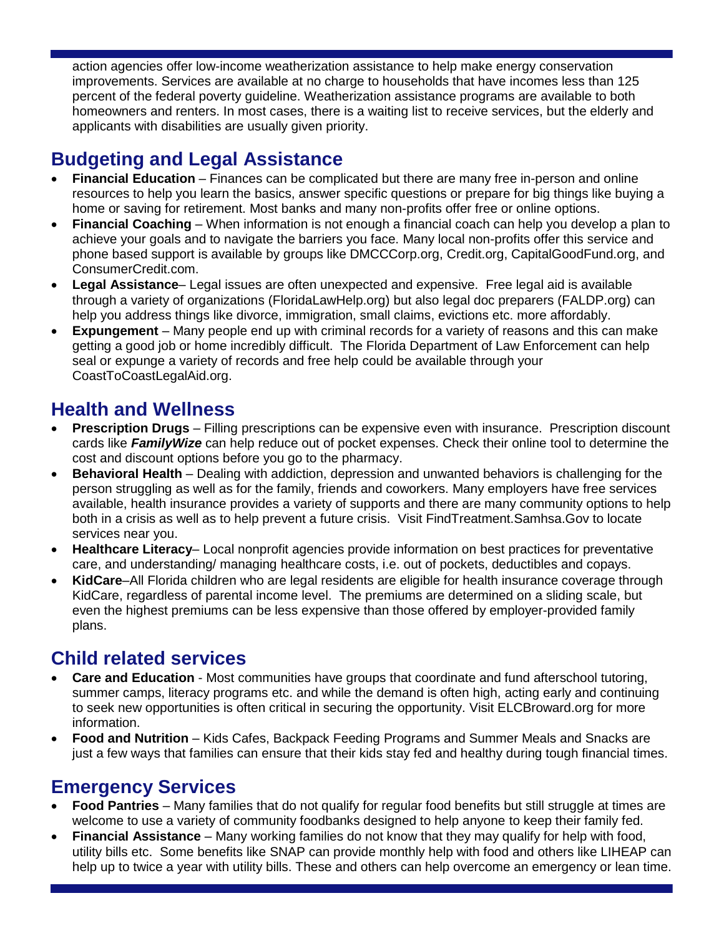action agencies offer low-income weatherization assistance to help make energy conservation improvements. Services are available at no charge to households that have incomes less than 125 percent of the federal poverty guideline. Weatherization assistance programs are available to both homeowners and renters. In most cases, there is a waiting list to receive services, but the elderly and applicants with disabilities are usually given priority.

# **Budgeting and Legal Assistance**

- **Financial Education** Finances can be complicated but there are many free in-person and online resources to help you learn the basics, answer specific questions or prepare for big things like buying a home or saving for retirement. Most banks and many non-profits offer free or online options.
- **Financial Coaching** When information is not enough a financial coach can help you develop a plan to achieve your goals and to navigate the barriers you face. Many local non-profits offer this service and phone based support is available by groups like DMCCCorp.org, Credit.org, CapitalGoodFund.org, and ConsumerCredit.com.
- **Legal Assistance** Legal issues are often unexpected and expensive. Free legal aid is available through a variety of organizations (FloridaLawHelp.org) but also legal doc preparers (FALDP.org) can help you address things like divorce, immigration, small claims, evictions etc. more affordably.
- **Expungement** Many people end up with criminal records for a variety of reasons and this can make getting a good job or home incredibly difficult. The Florida Department of Law Enforcement can help seal or expunge a variety of records and free help could be available through your CoastToCoastLegalAid.org.

## **Health and Wellness**

- **Prescription Drugs** Filling prescriptions can be expensive even with insurance. Prescription discount cards like *FamilyWize* can help reduce out of pocket expenses. Check their online tool to determine the cost and discount options before you go to the pharmacy.
- **Behavioral Health** Dealing with addiction, depression and unwanted behaviors is challenging for the person struggling as well as for the family, friends and coworkers. Many employers have free services available, health insurance provides a variety of supports and there are many community options to help both in a crisis as well as to help prevent a future crisis. Visit FindTreatment.Samhsa.Gov to locate services near you.
- **Healthcare Literacy** Local nonprofit agencies provide information on best practices for preventative care, and understanding/ managing healthcare costs, i.e. out of pockets, deductibles and copays.
- **KidCare**–All Florida children who are legal residents are eligible for health insurance coverage through KidCare, regardless of parental income level. The premiums are determined on a sliding scale, but even the highest premiums can be less expensive than those offered by employer-provided family plans.

### **Child related services**

- **Care and Education** Most communities have groups that coordinate and fund afterschool tutoring, summer camps, literacy programs etc. and while the demand is often high, acting early and continuing to seek new opportunities is often critical in securing the opportunity. Visit ELCBroward.org for more information.
- **Food and Nutrition** Kids Cafes, Backpack Feeding Programs and Summer Meals and Snacks are just a few ways that families can ensure that their kids stay fed and healthy during tough financial times.

#### **Emergency Services**

- **Food Pantries** Many families that do not qualify for regular food benefits but still struggle at times are welcome to use a variety of community foodbanks designed to help anyone to keep their family fed.
- **Financial Assistance** Many working families do not know that they may qualify for help with food, utility bills etc. Some benefits like SNAP can provide monthly help with food and others like LIHEAP can help up to twice a year with utility bills. These and others can help overcome an emergency or lean time.